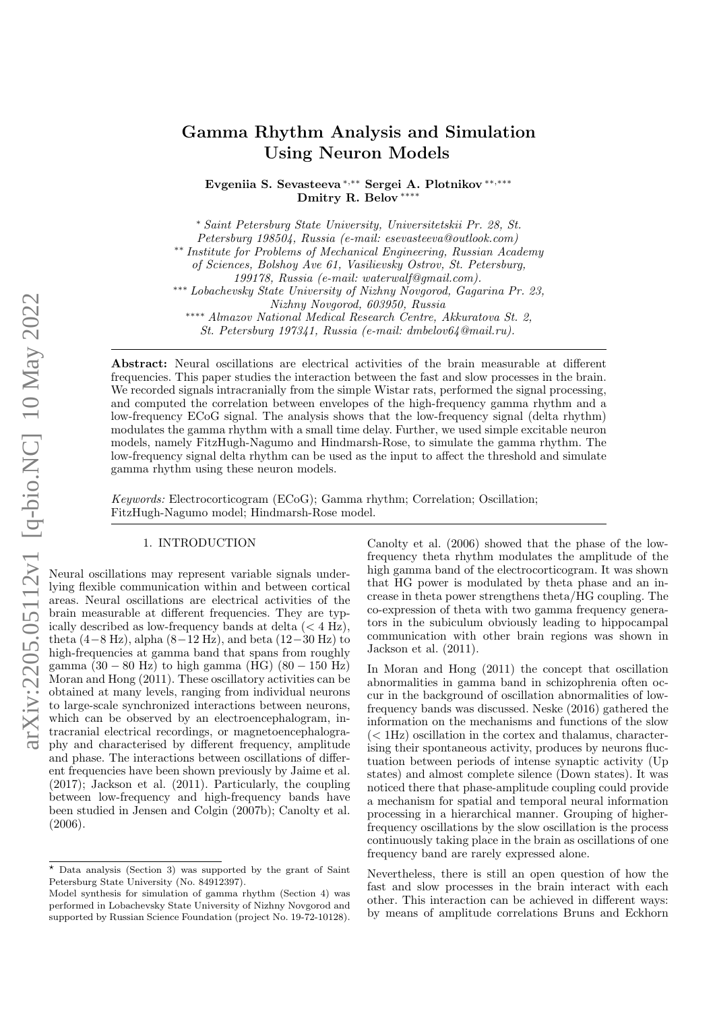# Gamma Rhythm Analysis and Simulation Using Neuron Models

Evgeniia S. Sevasteeva <sup>∗</sup>,∗∗ Sergei A. Plotnikov ∗∗,∗∗∗ Dmitry R. Belov \*\*\*

<sup>∗</sup> Saint Petersburg State University, Universitetskii Pr. 28, St.

Petersburg 198504, Russia (e-mail: esevasteeva@outlook.com)

∗∗ Institute for Problems of Mechanical Engineering, Russian Academy

of Sciences, Bolshoy Ave 61, Vasilievsky Ostrov, St. Petersburg,

∗∗∗ Lobachevsky State University of Nizhny Novgorod, Gagarina Pr. 23, Nizhny Novgorod, 603950, Russia

∗∗∗∗ Almazov National Medical Research Centre, Akkuratova St. 2, St. Petersburg 197341, Russia (e-mail: dmbelov64@mail.ru).

Abstract: Neural oscillations are electrical activities of the brain measurable at different frequencies. This paper studies the interaction between the fast and slow processes in the brain. We recorded signals intracranially from the simple Wistar rats, performed the signal processing, and computed the correlation between envelopes of the high-frequency gamma rhythm and a low-frequency ECoG signal. The analysis shows that the low-frequency signal (delta rhythm) modulates the gamma rhythm with a small time delay. Further, we used simple excitable neuron models, namely FitzHugh-Nagumo and Hindmarsh-Rose, to simulate the gamma rhythm. The low-frequency signal delta rhythm can be used as the input to affect the threshold and simulate gamma rhythm using these neuron models.

Keywords: Electrocorticogram (ECoG); Gamma rhythm; Correlation; Oscillation; FitzHugh-Nagumo model; Hindmarsh-Rose model.

#### 1. INTRODUCTION

Neural oscillations may represent variable signals underlying flexible communication within and between cortical areas. Neural oscillations are electrical activities of the brain measurable at different frequencies. They are typically described as low-frequency bands at delta  $(< 4$  Hz), theta  $(4-8 \text{ Hz})$ , alpha  $(8-12 \text{ Hz})$ , and beta  $(12-30 \text{ Hz})$  to high-frequencies at gamma band that spans from roughly gamma  $(30 - 80 \text{ Hz})$  to high gamma  $(HG)$   $(80 - 150 \text{ Hz})$ Moran and Hong (2011). These oscillatory activities can be obtained at many levels, ranging from individual neurons to large-scale synchronized interactions between neurons, which can be observed by an electroencephalogram, intracranial electrical recordings, or magnetoencephalography and characterised by different frequency, amplitude and phase. The interactions between oscillations of different frequencies have been shown previously by Jaime et al. (2017); Jackson et al. (2011). Particularly, the coupling between low-frequency and high-frequency bands have been studied in Jensen and Colgin (2007b); Canolty et al. (2006).

Canolty et al. (2006) showed that the phase of the lowfrequency theta rhythm modulates the amplitude of the high gamma band of the electrocorticogram. It was shown that HG power is modulated by theta phase and an increase in theta power strengthens theta/HG coupling. The co-expression of theta with two gamma frequency generators in the subiculum obviously leading to hippocampal communication with other brain regions was shown in Jackson et al. (2011).

In Moran and Hong (2011) the concept that oscillation abnormalities in gamma band in schizophrenia often occur in the background of oscillation abnormalities of lowfrequency bands was discussed. Neske (2016) gathered the information on the mechanisms and functions of the slow  $(< 1$ Hz) oscillation in the cortex and thalamus, characterising their spontaneous activity, produces by neurons fluctuation between periods of intense synaptic activity (Up states) and almost complete silence (Down states). It was noticed there that phase-amplitude coupling could provide a mechanism for spatial and temporal neural information processing in a hierarchical manner. Grouping of higherfrequency oscillations by the slow oscillation is the process continuously taking place in the brain as oscillations of one frequency band are rarely expressed alone.

Nevertheless, there is still an open question of how the fast and slow processes in the brain interact with each other. This interaction can be achieved in different ways: by means of amplitude correlations Bruns and Eckhorn

<sup>199178,</sup> Russia (e-mail: waterwalf@gmail.com).

 $*$  Data analysis (Section 3) was supported by the grant of Saint Petersburg State University (No. 84912397).

Model synthesis for simulation of gamma rhythm (Section 4) was performed in Lobachevsky State University of Nizhny Novgorod and supported by Russian Science Foundation (project No. 19-72-10128).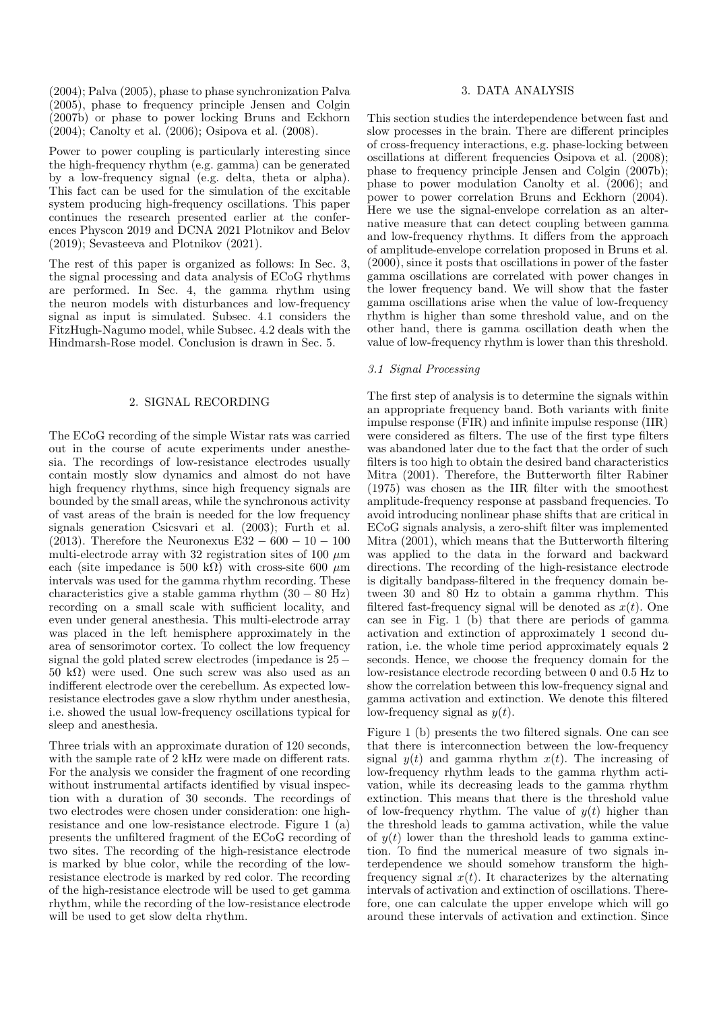(2004); Palva (2005), phase to phase synchronization Palva (2005), phase to frequency principle Jensen and Colgin (2007b) or phase to power locking Bruns and Eckhorn (2004); Canolty et al. (2006); Osipova et al. (2008).

Power to power coupling is particularly interesting since the high-frequency rhythm (e.g. gamma) can be generated by a low-frequency signal (e.g. delta, theta or alpha). This fact can be used for the simulation of the excitable system producing high-frequency oscillations. This paper continues the research presented earlier at the conferences Physcon 2019 and DCNA 2021 Plotnikov and Belov (2019); Sevasteeva and Plotnikov (2021).

The rest of this paper is organized as follows: In Sec. 3, the signal processing and data analysis of ECoG rhythms are performed. In Sec. 4, the gamma rhythm using the neuron models with disturbances and low-frequency signal as input is simulated. Subsec. 4.1 considers the FitzHugh-Nagumo model, while Subsec. 4.2 deals with the Hindmarsh-Rose model. Conclusion is drawn in Sec. 5.

# 2. SIGNAL RECORDING

The ECoG recording of the simple Wistar rats was carried out in the course of acute experiments under anesthesia. The recordings of low-resistance electrodes usually contain mostly slow dynamics and almost do not have high frequency rhythms, since high frequency signals are bounded by the small areas, while the synchronous activity of vast areas of the brain is needed for the low frequency signals generation Csicsvari et al. (2003); Furth et al. (2013). Therefore the Neuronexus E32 – 600 – 10 – 100 multi-electrode array with 32 registration sites of 100  $\mu$ m each (site impedance is 500 kΩ) with cross-site 600  $\mu$ m intervals was used for the gamma rhythm recording. These characteristics give a stable gamma rhythm  $(30 - 80$  Hz) recording on a small scale with sufficient locality, and even under general anesthesia. This multi-electrode array was placed in the left hemisphere approximately in the area of sensorimotor cortex. To collect the low frequency signal the gold plated screw electrodes (impedance is 25 − 50 kΩ) were used. One such screw was also used as an indifferent electrode over the cerebellum. As expected lowresistance electrodes gave a slow rhythm under anesthesia, i.e. showed the usual low-frequency oscillations typical for sleep and anesthesia.

Three trials with an approximate duration of 120 seconds, with the sample rate of 2 kHz were made on different rats. For the analysis we consider the fragment of one recording without instrumental artifacts identified by visual inspection with a duration of 30 seconds. The recordings of two electrodes were chosen under consideration: one highresistance and one low-resistance electrode. Figure 1 (a) presents the unfiltered fragment of the ECoG recording of two sites. The recording of the high-resistance electrode is marked by blue color, while the recording of the lowresistance electrode is marked by red color. The recording of the high-resistance electrode will be used to get gamma rhythm, while the recording of the low-resistance electrode will be used to get slow delta rhythm.

## 3. DATA ANALYSIS

This section studies the interdependence between fast and slow processes in the brain. There are different principles of cross-frequency interactions, e.g. phase-locking between oscillations at different frequencies Osipova et al. (2008); phase to frequency principle Jensen and Colgin (2007b); phase to power modulation Canolty et al. (2006); and power to power correlation Bruns and Eckhorn (2004). Here we use the signal-envelope correlation as an alternative measure that can detect coupling between gamma and low-frequency rhythms. It differs from the approach of amplitude-envelope correlation proposed in Bruns et al. (2000), since it posts that oscillations in power of the faster gamma oscillations are correlated with power changes in the lower frequency band. We will show that the faster gamma oscillations arise when the value of low-frequency rhythm is higher than some threshold value, and on the other hand, there is gamma oscillation death when the value of low-frequency rhythm is lower than this threshold.

### 3.1 Signal Processing

The first step of analysis is to determine the signals within an appropriate frequency band. Both variants with finite impulse response (FIR) and infinite impulse response (IIR) were considered as filters. The use of the first type filters was abandoned later due to the fact that the order of such filters is too high to obtain the desired band characteristics Mitra (2001). Therefore, the Butterworth filter Rabiner (1975) was chosen as the IIR filter with the smoothest amplitude-frequency response at passband frequencies. To avoid introducing nonlinear phase shifts that are critical in ECoG signals analysis, a zero-shift filter was implemented Mitra (2001), which means that the Butterworth filtering was applied to the data in the forward and backward directions. The recording of the high-resistance electrode is digitally bandpass-filtered in the frequency domain between 30 and 80 Hz to obtain a gamma rhythm. This filtered fast-frequency signal will be denoted as  $x(t)$ . One can see in Fig. 1 (b) that there are periods of gamma activation and extinction of approximately 1 second duration, i.e. the whole time period approximately equals 2 seconds. Hence, we choose the frequency domain for the low-resistance electrode recording between 0 and 0.5 Hz to show the correlation between this low-frequency signal and gamma activation and extinction. We denote this filtered low-frequency signal as  $y(t)$ .

Figure 1 (b) presents the two filtered signals. One can see that there is interconnection between the low-frequency signal  $y(t)$  and gamma rhythm  $x(t)$ . The increasing of low-frequency rhythm leads to the gamma rhythm activation, while its decreasing leads to the gamma rhythm extinction. This means that there is the threshold value of low-frequency rhythm. The value of  $y(t)$  higher than the threshold leads to gamma activation, while the value of  $y(t)$  lower than the threshold leads to gamma extinction. To find the numerical measure of two signals interdependence we should somehow transform the highfrequency signal  $x(t)$ . It characterizes by the alternating intervals of activation and extinction of oscillations. Therefore, one can calculate the upper envelope which will go around these intervals of activation and extinction. Since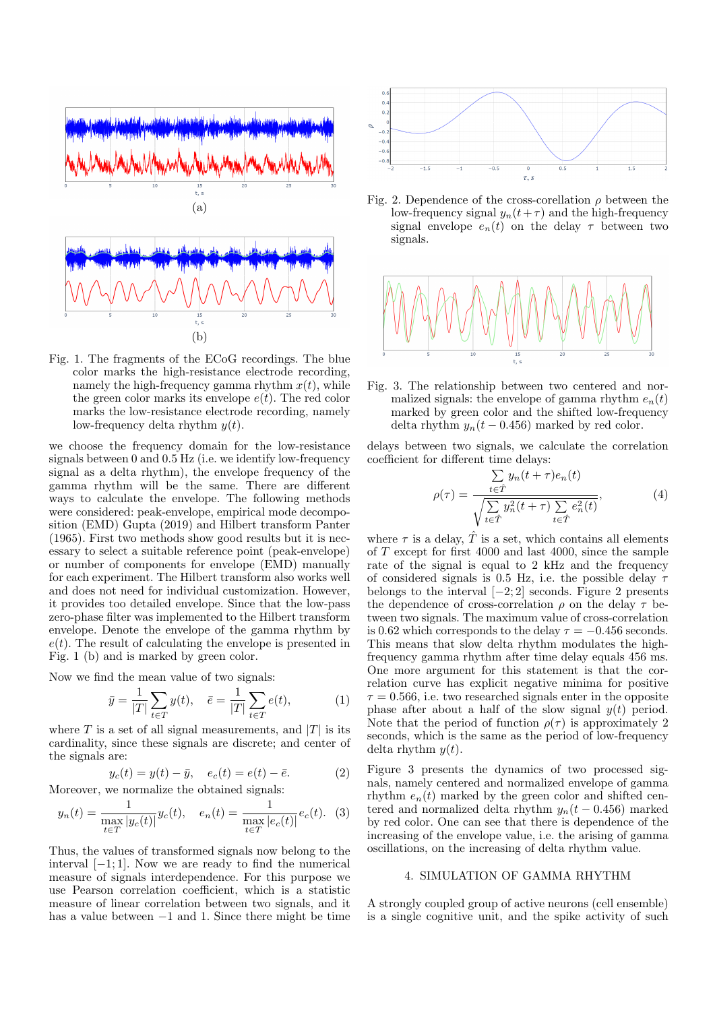

Fig. 1. The fragments of the ECoG recordings. The blue color marks the high-resistance electrode recording, namely the high-frequency gamma rhythm  $x(t)$ , while the green color marks its envelope  $e(t)$ . The red color marks the low-resistance electrode recording, namely low-frequency delta rhythm  $y(t)$ .

we choose the frequency domain for the low-resistance signals between 0 and 0.5 Hz (i.e. we identify low-frequency signal as a delta rhythm), the envelope frequency of the gamma rhythm will be the same. There are different ways to calculate the envelope. The following methods were considered: peak-envelope, empirical mode decomposition (EMD) Gupta (2019) and Hilbert transform Panter (1965). First two methods show good results but it is necessary to select a suitable reference point (peak-envelope) or number of components for envelope (EMD) manually for each experiment. The Hilbert transform also works well and does not need for individual customization. However, it provides too detailed envelope. Since that the low-pass zero-phase filter was implemented to the Hilbert transform envelope. Denote the envelope of the gamma rhythm by  $e(t)$ . The result of calculating the envelope is presented in Fig. 1 (b) and is marked by green color.

Now we find the mean value of two signals:

$$
\bar{y} = \frac{1}{|T|} \sum_{t \in T} y(t), \quad \bar{e} = \frac{1}{|T|} \sum_{t \in T} e(t), \tag{1}
$$

where T is a set of all signal measurements, and  $|T|$  is its cardinality, since these signals are discrete; and center of the signals are:

$$
y_c(t) = y(t) - \bar{y}, \quad e_c(t) = e(t) - \bar{e}.
$$
 (2)

Moreover, we normalize the obtained signals:

$$
y_n(t) = \frac{1}{\max_{t \in T} |y_c(t)|} y_c(t), \quad e_n(t) = \frac{1}{\max_{t \in T} |e_c(t)|} e_c(t). \tag{3}
$$

Thus, the values of transformed signals now belong to the interval [−1; 1]. Now we are ready to find the numerical measure of signals interdependence. For this purpose we use Pearson correlation coefficient, which is a statistic measure of linear correlation between two signals, and it has a value between −1 and 1. Since there might be time



Fig. 2. Dependence of the cross-corellation  $\rho$  between the low-frequency signal  $y_n(t+\tau)$  and the high-frequency signal envelope  $e_n(t)$  on the delay  $\tau$  between two signals.



Fig. 3. The relationship between two centered and normalized signals: the envelope of gamma rhythm  $e_n(t)$ marked by green color and the shifted low-frequency delta rhythm  $y_n(t - 0.456)$  marked by red color.

delays between two signals, we calculate the correlation coefficient for different time delays:

$$
\rho(\tau) = \frac{\sum_{t \in \hat{T}} y_n(t + \tau) e_n(t)}{\sqrt{\sum_{t \in \hat{T}} y_n^2(t + \tau) \sum_{t \in \hat{T}} e_n^2(t)}},\tag{4}
$$

where  $\tau$  is a delay,  $\hat{T}$  is a set, which contains all elements of T except for first 4000 and last 4000, since the sample rate of the signal is equal to 2 kHz and the frequency of considered signals is 0.5 Hz, i.e. the possible delay  $\tau$ belongs to the interval  $[-2, 2]$  seconds. Figure 2 presents the dependence of cross-correlation  $\rho$  on the delay  $\tau$  between two signals. The maximum value of cross-correlation is 0.62 which corresponds to the delay  $\tau = -0.456$  seconds. This means that slow delta rhythm modulates the highfrequency gamma rhythm after time delay equals 456 ms. One more argument for this statement is that the correlation curve has explicit negative minima for positive  $\tau = 0.566$ , i.e. two researched signals enter in the opposite phase after about a half of the slow signal  $y(t)$  period. Note that the period of function  $\rho(\tau)$  is approximately 2 seconds, which is the same as the period of low-frequency delta rhythm  $y(t)$ .

Figure 3 presents the dynamics of two processed signals, namely centered and normalized envelope of gamma rhythm  $e_n(t)$  marked by the green color and shifted centered and normalized delta rhythm  $y_n(t - 0.456)$  marked by red color. One can see that there is dependence of the increasing of the envelope value, i.e. the arising of gamma oscillations, on the increasing of delta rhythm value.

#### 4. SIMULATION OF GAMMA RHYTHM

A strongly coupled group of active neurons (cell ensemble) is a single cognitive unit, and the spike activity of such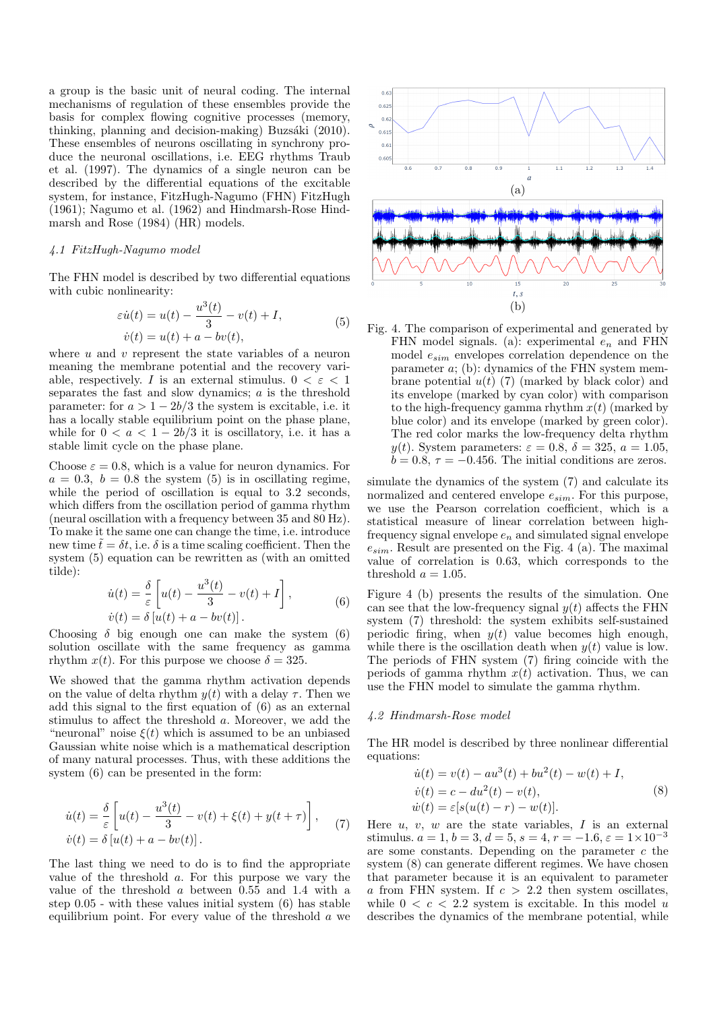a group is the basic unit of neural coding. The internal mechanisms of regulation of these ensembles provide the basis for complex flowing cognitive processes (memory, thinking, planning and decision-making) Buzsáki  $(2010)$ . These ensembles of neurons oscillating in synchrony produce the neuronal oscillations, i.e. EEG rhythms Traub et al. (1997). The dynamics of a single neuron can be described by the differential equations of the excitable system, for instance, FitzHugh-Nagumo (FHN) FitzHugh (1961); Nagumo et al. (1962) and Hindmarsh-Rose Hindmarsh and Rose (1984) (HR) models.

# 4.1 FitzHugh-Nagumo model

The FHN model is described by two differential equations with cubic nonlinearity:

$$
\varepsilon \dot{u}(t) = u(t) - \frac{u^3(t)}{3} - v(t) + I,
$$
  
\n
$$
\dot{v}(t) = u(t) + a - bv(t),
$$
\n(5)

where  $u$  and  $v$  represent the state variables of a neuron meaning the membrane potential and the recovery variable, respectively. I is an external stimulus.  $0 < \varepsilon < 1$ separates the fast and slow dynamics;  $a$  is the threshold parameter: for  $a > 1 - 2b/3$  the system is excitable, i.e. it has a locally stable equilibrium point on the phase plane, while for  $0 < a < 1-2b/3$  it is oscillatory, i.e. it has a stable limit cycle on the phase plane.

Choose  $\varepsilon = 0.8$ , which is a value for neuron dynamics. For  $a = 0.3, b = 0.8$  the system (5) is in oscillating regime, while the period of oscillation is equal to 3.2 seconds, which differs from the oscillation period of gamma rhythm (neural oscillation with a frequency between 35 and 80 Hz). To make it the same one can change the time, i.e. introduce new time  $\tilde{t} = \delta t$ , i.e.  $\delta$  is a time scaling coefficient. Then the system (5) equation can be rewritten as (with an omitted tilde):

$$
\dot{u}(t) = \frac{\delta}{\varepsilon} \left[ u(t) - \frac{u^3(t)}{3} - v(t) + I \right],
$$
\n
$$
\dot{v}(t) = \delta \left[ u(t) + a - bv(t) \right].
$$
\n(6)

Choosing  $\delta$  big enough one can make the system (6) solution oscillate with the same frequency as gamma rhythm  $x(t)$ . For this purpose we choose  $\delta = 325$ .

We showed that the gamma rhythm activation depends on the value of delta rhythm  $y(t)$  with a delay  $\tau$ . Then we add this signal to the first equation of (6) as an external stimulus to affect the threshold a. Moreover, we add the "neuronal" noise  $\xi(t)$  which is assumed to be an unbiased Gaussian white noise which is a mathematical description of many natural processes. Thus, with these additions the system (6) can be presented in the form:

$$
\dot{u}(t) = \frac{\delta}{\varepsilon} \left[ u(t) - \frac{u^3(t)}{3} - v(t) + \xi(t) + y(t + \tau) \right],
$$
  
\n
$$
\dot{v}(t) = \delta [u(t) + a - bv(t)].
$$
\n(7)

The last thing we need to do is to find the appropriate value of the threshold a. For this purpose we vary the value of the threshold a between 0.55 and 1.4 with a step 0.05 - with these values initial system (6) has stable equilibrium point. For every value of the threshold a we



Fig. 4. The comparison of experimental and generated by FHN model signals. (a): experimental  $e_n$  and FHN model  $e_{sim}$  envelopes correlation dependence on the parameter a; (b): dynamics of the FHN system membrane potential  $u(t)$  (7) (marked by black color) and its envelope (marked by cyan color) with comparison to the high-frequency gamma rhythm  $x(t)$  (marked by blue color) and its envelope (marked by green color). The red color marks the low-frequency delta rhythm y(t). System parameters:  $\varepsilon = 0.8$ ,  $\delta = 325$ ,  $a = 1.05$ ,  $b = 0.8, \tau = -0.456$ . The initial conditions are zeros.

simulate the dynamics of the system (7) and calculate its normalized and centered envelope  $e_{sim}$ . For this purpose, we use the Pearson correlation coefficient, which is a statistical measure of linear correlation between highfrequency signal envelope  $e_n$  and simulated signal envelope  $e_{sim}$ . Result are presented on the Fig. 4 (a). The maximal value of correlation is 0.63, which corresponds to the threshold  $a = 1.05$ .

Figure 4 (b) presents the results of the simulation. One can see that the low-frequency signal  $y(t)$  affects the FHN system (7) threshold: the system exhibits self-sustained periodic firing, when  $y(t)$  value becomes high enough, while there is the oscillation death when  $y(t)$  value is low. The periods of FHN system (7) firing coincide with the periods of gamma rhythm  $x(t)$  activation. Thus, we can use the FHN model to simulate the gamma rhythm.

#### 4.2 Hindmarsh-Rose model

The HR model is described by three nonlinear differential equations:

$$
\dot{u}(t) = v(t) - au^3(t) + bu^2(t) - w(t) + I,\n\dot{v}(t) = c - du^2(t) - v(t),\n\dot{w}(t) = \varepsilon[s(u(t) - r) - w(t)].
$$
\n(8)

Here  $u, v, w$  are the state variables,  $I$  is an external stimulus.  $a = 1, b = 3, d = 5, s = 4, r = -1.6, \varepsilon = 1 \times 10^{-3}$ are some constants. Depending on the parameter  $c$  the system (8) can generate different regimes. We have chosen that parameter because it is an equivalent to parameter a from FHN system. If  $c > 2.2$  then system oscillates, while  $0 < c < 2.2$  system is excitable. In this model u describes the dynamics of the membrane potential, while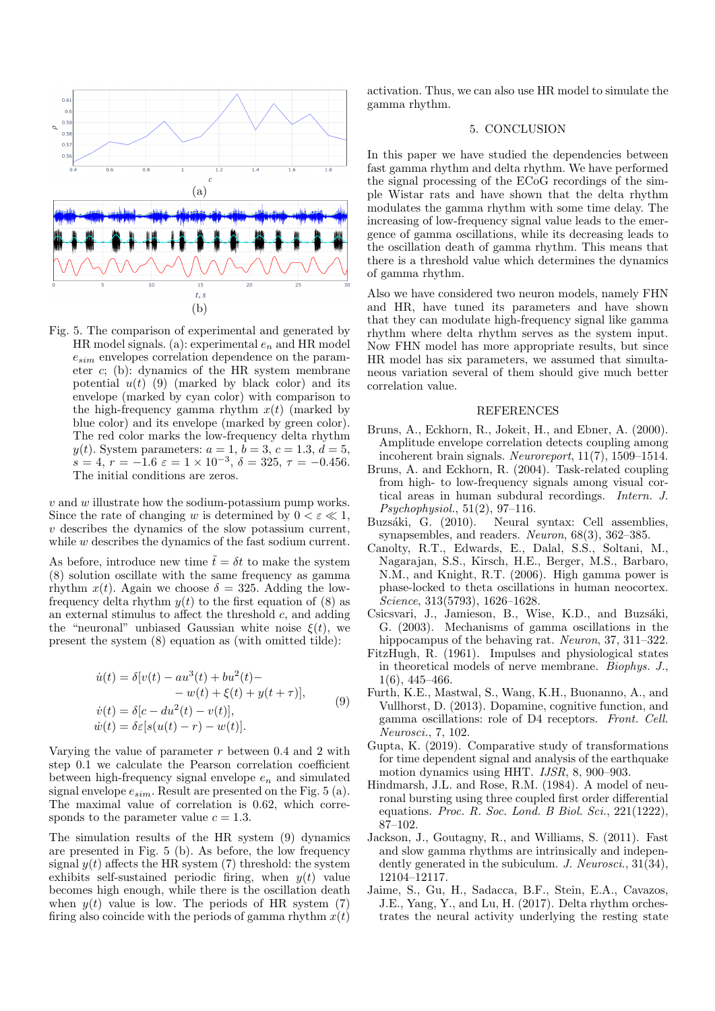

Fig. 5. The comparison of experimental and generated by HR model signals. (a): experimental  $e_n$  and HR model  $e_{sim}$  envelopes correlation dependence on the parameter c; (b): dynamics of the HR system membrane potential  $u(t)$  (9) (marked by black color) and its envelope (marked by cyan color) with comparison to the high-frequency gamma rhythm  $x(t)$  (marked by blue color) and its envelope (marked by green color). The red color marks the low-frequency delta rhythm y(t). System parameters:  $a = 1, b = 3, c = 1.3, d = 5,$  $s = 4, r = -1.6 \varepsilon = 1 \times 10^{-3}, \delta = 325, \tau = -0.456.$ The initial conditions are zeros.

 $v$  and  $w$  illustrate how the sodium-potassium pump works. Since the rate of changing w is determined by  $0 < \varepsilon \ll 1$ , v describes the dynamics of the slow potassium current, while w describes the dynamics of the fast sodium current.

As before, introduce new time  $\tilde{t} = \delta t$  to make the system (8) solution oscillate with the same frequency as gamma rhythm  $x(t)$ . Again we choose  $\delta = 325$ . Adding the lowfrequency delta rhythm  $y(t)$  to the first equation of (8) as an external stimulus to affect the threshold  $c$ , and adding the "neuronal" unbiased Gaussian white noise  $\xi(t)$ , we present the system (8) equation as (with omitted tilde):

$$
\dot{u}(t) = \delta[v(t) - au^3(t) + bu^2(t) -- w(t) + \xi(t) + y(t + \tau)],\n\dot{v}(t) = \delta[c - du^2(t) - v(t)],\n\dot{w}(t) = \delta\varepsilon[s(u(t) - r) - w(t)].
$$
\n(9)

Varying the value of parameter  $r$  between 0.4 and 2 with step 0.1 we calculate the Pearson correlation coefficient between high-frequency signal envelope  $e_n$  and simulated signal envelope  $e_{sim}$ . Result are presented on the Fig. 5 (a). The maximal value of correlation is 0.62, which corresponds to the parameter value  $c = 1.3$ .

The simulation results of the HR system (9) dynamics are presented in Fig. 5 (b). As before, the low frequency signal  $y(t)$  affects the HR system (7) threshold: the system exhibits self-sustained periodic firing, when  $y(t)$  value becomes high enough, while there is the oscillation death when  $y(t)$  value is low. The periods of HR system (7) firing also coincide with the periods of gamma rhythm  $x(t)$ 

activation. Thus, we can also use HR model to simulate the gamma rhythm.

## 5. CONCLUSION

In this paper we have studied the dependencies between fast gamma rhythm and delta rhythm. We have performed the signal processing of the ECoG recordings of the simple Wistar rats and have shown that the delta rhythm modulates the gamma rhythm with some time delay. The increasing of low-frequency signal value leads to the emergence of gamma oscillations, while its decreasing leads to the oscillation death of gamma rhythm. This means that there is a threshold value which determines the dynamics of gamma rhythm.

Also we have considered two neuron models, namely FHN and HR, have tuned its parameters and have shown that they can modulate high-frequency signal like gamma rhythm where delta rhythm serves as the system input. Now FHN model has more appropriate results, but since HR model has six parameters, we assumed that simultaneous variation several of them should give much better correlation value.

#### REFERENCES

- Bruns, A., Eckhorn, R., Jokeit, H., and Ebner, A. (2000). Amplitude envelope correlation detects coupling among incoherent brain signals. Neuroreport, 11(7), 1509–1514.
- Bruns, A. and Eckhorn, R. (2004). Task-related coupling from high- to low-frequency signals among visual cortical areas in human subdural recordings. Intern. J. Psychophysiol., 51(2), 97–116.
- Buzsáki, G. (2010). Neural syntax: Cell assemblies, synapsembles, and readers. Neuron, 68(3), 362–385.
- Canolty, R.T., Edwards, E., Dalal, S.S., Soltani, M., Nagarajan, S.S., Kirsch, H.E., Berger, M.S., Barbaro, N.M., and Knight, R.T. (2006). High gamma power is phase-locked to theta oscillations in human neocortex. Science, 313(5793), 1626–1628.
- Csicsvari, J., Jamieson, B., Wise, K.D., and Buzsáki, G. (2003). Mechanisms of gamma oscillations in the hippocampus of the behaving rat. *Neuron*, 37, 311–322.
- FitzHugh, R. (1961). Impulses and physiological states in theoretical models of nerve membrane. Biophys. J., 1(6), 445–466.
- Furth, K.E., Mastwal, S., Wang, K.H., Buonanno, A., and Vullhorst, D. (2013). Dopamine, cognitive function, and gamma oscillations: role of D4 receptors. Front. Cell. Neurosci., 7, 102.
- Gupta, K. (2019). Comparative study of transformations for time dependent signal and analysis of the earthquake motion dynamics using HHT. IJSR, 8, 900–903.
- Hindmarsh, J.L. and Rose, R.M. (1984). A model of neuronal bursting using three coupled first order differential equations. Proc. R. Soc. Lond. B Biol. Sci.,  $221(1222)$ , 87–102.
- Jackson, J., Goutagny, R., and Williams, S. (2011). Fast and slow gamma rhythms are intrinsically and independently generated in the subiculum. J. Neurosci., 31(34), 12104–12117.
- Jaime, S., Gu, H., Sadacca, B.F., Stein, E.A., Cavazos, J.E., Yang, Y., and Lu, H. (2017). Delta rhythm orchestrates the neural activity underlying the resting state